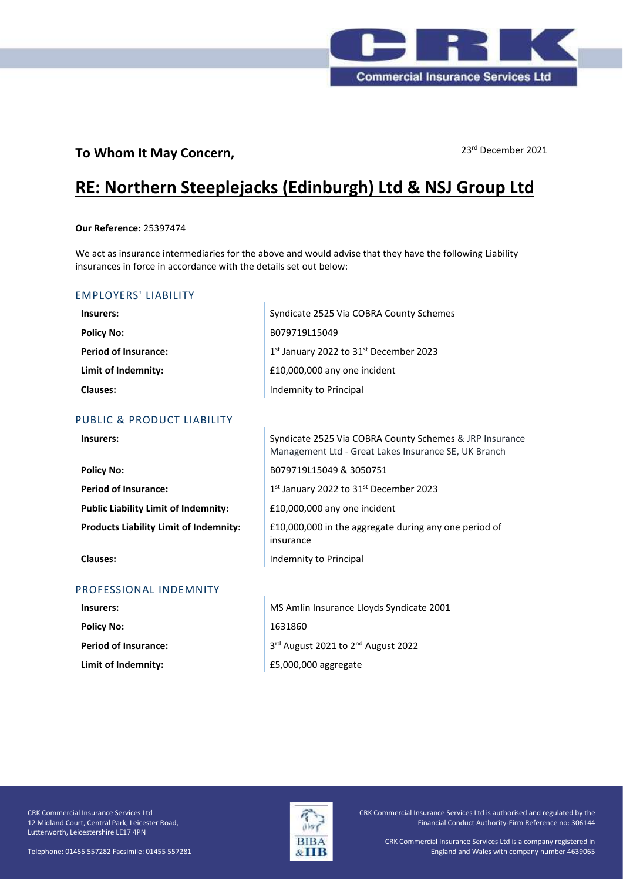

# **To Whom It May Concern,** 23<sup>rd</sup> December 2021

# **RE: Northern Steeplejacks (Edinburgh) Ltd & NSJ Group Ltd**

#### **Our Reference:** 25397474

We act as insurance intermediaries for the above and would advise that they have the following Liability insurances in force in accordance with the details set out below:

# EMPLOYERS' LIABILITY

| Insurers:                   | Syndicate 2525 Via COBRA County Schemes |
|-----------------------------|-----------------------------------------|
| <b>Policy No:</b>           | B079719L15049                           |
| <b>Period of Insurance:</b> | 1st January 2022 to 31st December 2023  |
| Limit of Indemnity:         | £10,000,000 any one incident            |
| <b>Clauses:</b>             | Indemnity to Principal                  |

# PUBLIC & PRODUCT LIABILITY

| <b>Policy No:</b>                             | B0797            |
|-----------------------------------------------|------------------|
| <b>Period of Insurance:</b>                   | $1st$ Jan        |
| <b>Public Liability Limit of Indemnity:</b>   | £10.00           |
| <b>Products Liability Limit of Indemnity:</b> | £10.00<br>insura |
|                                               |                  |

#### PROFESSIONAL INDEMNITY

| Insurers:                   |   |
|-----------------------------|---|
| <b>Policy No:</b>           |   |
| <b>Period of Insurance:</b> | 3 |
| Limit of Indemnity:         |   |

**Insurers:** Syndicate 2525 Via COBRA County Schemes & JRP Insurance Management Ltd - Great Lakes Insurance SE, UK Branch **Policy No:** B079719L15049 & 3050751 uary 2022 to 31st December 2023 **00,000 any one incident Products Liability Limit of Indemnity:** £10,000,000 in the aggregate during any one period of insurance **Clauses:** Indemnity to Principal

> **Insurers:** MS Amlin Insurance Lloyds Syndicate 2001 **Policy No:** 1631860 3rd August 2021 to 2nd August 2022 **Limit of Indemnity:** £5,000,000 aggregate

CRK Commercial Insurance Services Ltd 12 Midland Court, Central Park, Leicester Road, Lutterworth, Leicestershire LE17 4PN